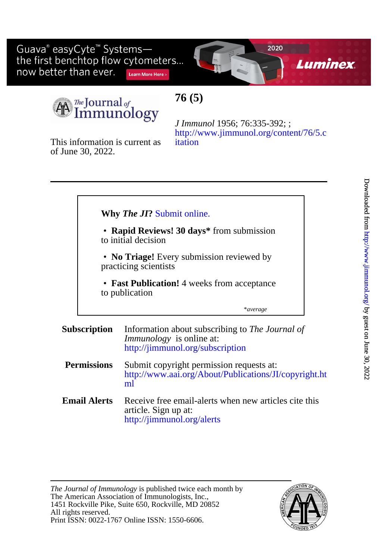Guava® easyCyte<sup>™</sup> Systemsthe first benchtop flow cytometers... now better than ever. Learn More Here >



The Journal of  $\,$ nmunology

# **76 (5)**

of June 30, 2022. This information is current as

[itation](http://www.jimmunol.org/content/76/5.citation) [http://www.jimmunol.org/content/76/5.c](http://www.jimmunol.org/content/76/5.citation) *J Immunol* 1956; 76:335-392; ;

## **Why** *The JI***?** [Submit online.](https://ji.msubmit.net)

- to initial decision • **Rapid Reviews! 30 days\*** from submission
- Ī practicing scientists • **No Triage!** Every submission reviewed by
- to publication • **Fast Publication!** 4 weeks from acceptance

\**average*

#### **Subscription** <http://jimmunol.org/subscription> *Immunology* is online at: Information about subscribing to *The Journal of*

- **Permissions** [ml](http://www.aai.org/About/Publications/JI/copyright.html) [http://www.aai.org/About/Publications/JI/copyright.ht](http://www.aai.org/About/Publications/JI/copyright.html) Submit copyright permission requests at:
- **Email Alerts** <http://jimmunol.org/alerts> article. Sign up at: Receive free email-alerts when new articles cite this

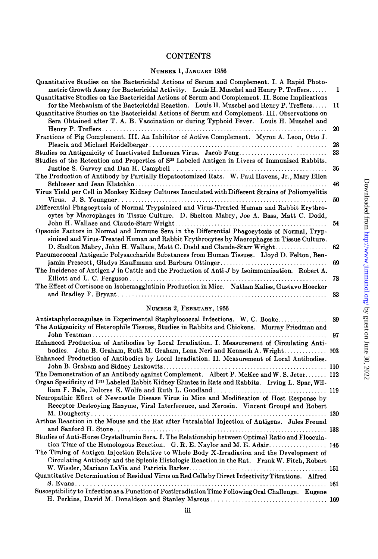## CONTENTS

## **NUMBER 1, JANUARY** 1956

| Quantitative Studies on the Bactericidal Actions of Serum and Complement. I. A Rapid Photo-                |    |
|------------------------------------------------------------------------------------------------------------|----|
| metric Growth Assay for Bactericidal Activity. Louis H. Muschel and Henry P. Treffers                      | 1  |
| Quantitative Studies on the Bactericidal Actions of Serum and Complement. II. Some Implications            |    |
| for the Mechanism of the Bactericidal Reaction. Louis H. Muschel and Henry P. Treffers                     | 11 |
| Quantitative Studies on the Bactericidal Actions of Serum and Complement. III. Observations on             |    |
| Sera Obtained after T. A. B. Vaccination or during Typhoid Fever. Louis H. Muschel and                     |    |
|                                                                                                            | 20 |
| Fractions of Pig Complement. III. An Inhibitor of Active Complement. Myron A. Leon, Otto J.                |    |
|                                                                                                            | 28 |
| Studies on Antigenicity of Inactivated Influenza Virus. Jacob Fong                                         | 33 |
| Studies of the Retention and Properties of S <sup>55</sup> Labeled Antigen in Livers of Immunized Rabbits. |    |
|                                                                                                            | 36 |
| The Production of Antibody by Partially Hepatectomized Rats. W. Paul Havens, Jr., Mary Ellen               |    |
|                                                                                                            | 46 |
| Virus Yield per Cell in Monkey Kidney Cultures Inoculated with Different Strains of Poliomyelitis          |    |
|                                                                                                            | 50 |
| Differential Phagocytosis of Normal Trypsinized and Virus-Treated Human and Rabbit Erythro-                |    |
| cytes by Macrophages in Tissue Culture. D. Shelton Mabry, Joe A. Bass, Matt C. Dodd,                       |    |
|                                                                                                            | 54 |
| Opsonic Factors in Normal and Immune Sera in the Differential Phagocytosis of Normal, Tryp-                |    |
| sinized and Virus-Treated Human and Rabbit Erythrocytes by Macrophages in Tissue Culture.                  |    |
| D. Shelton Mabry, John H. Wallace, Matt C. Dodd and Claude-Starr Wright                                    | 62 |
| Pneumococcal Antigenic Polysaccharide Substances from Human Tissues. Lloyd D. Felton, Ben-                 |    |
|                                                                                                            | 69 |
| The Incidence of Antigen J in Cattle and the Production of Anti-J by Isoimmunization. Robert A.            |    |
|                                                                                                            | 78 |
| The Effect of Cortisone on Isohemagglutinin Production in Mice. Nathan Kaliss, Gustavo Hoecker             |    |
|                                                                                                            | 83 |
|                                                                                                            |    |

#### **NUMBER 2, FEBRUARY,** 1956

| Antistaphylocoagulase in Experimental Staphylococcal Infections. W. C. Boake                                  | 89  |
|---------------------------------------------------------------------------------------------------------------|-----|
| The Antigenicity of Heterophile Tissues, Studies in Rabbits and Chickens. Murray Friedman and                 |     |
|                                                                                                               | 97  |
| Enhanced Production of Antibodies by Local Irradiation. I. Measurement of Circulating Anti-                   |     |
| bodies. John B. Graham, Ruth M. Graham, Lena Neri and Kenneth A. Wright 103                                   |     |
| Enhanced Production of Antibodies by Local Irradiation. II. Measurement of Local Antibodies.                  |     |
|                                                                                                               |     |
| The Demonstration of an Antibody against Complement. Albert P. McKee and W.S. Jeter 112                       |     |
| Organ Specificity of I <sup>131</sup> Labeled Rabbit Kidney Eluates in Rats and Rabbits. Irving L. Spar, Wil- |     |
|                                                                                                               |     |
| Neuropathic Effect of Newcastle Disease Virus in Mice and Modification of Host Response by                    |     |
| Receptor Destroying Enzyme, Viral Interference, and Xerosin. Vincent Groupé and Robert                        |     |
| . 130                                                                                                         |     |
| Arthus Reaction in the Mouse and the Rat after Intralabial Injection of Antigens. Jules Freund                |     |
| Studies of Anti-Horse Crystalbumin Sera. I. The Relationship between Optimal Ratio and Floccula-              |     |
| tion Time of the Homologous Reaction. G.R.E. Naylor and M.E. Adair 146                                        |     |
| The Timing of Antigen Injection Relative to Whole Body X-Irradiation and the Development of                   |     |
| Circulating Antibody and the Splenic Histologic Reaction in the Rat. Frank W. Fitch, Robert                   |     |
|                                                                                                               |     |
| Quantitative Determination of Residual Virus on Red Cells by Direct Infectivity Titrations. Alfred            |     |
|                                                                                                               | 161 |
| Susceptibility to Infection as a Function of Postirradiation Time Following Oral Challenge. Eugene            |     |
|                                                                                                               |     |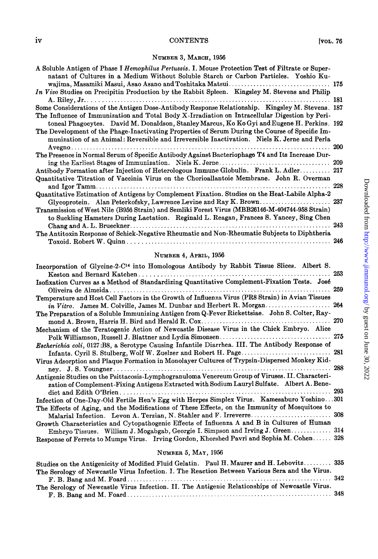### NUMBER 3, MARCH, 1956

| A Soluble Antigen of Phase I Hemophilus Pertussis. I. Mouse Protection Test of Filtrate or Super-<br>natant of Cultures in a Medium Without Soluble Starch or Carbon Particles. Yoshio Ku- |     |
|--------------------------------------------------------------------------------------------------------------------------------------------------------------------------------------------|-----|
|                                                                                                                                                                                            |     |
| In Vivo Studies on Precipitin Production by the Rabbit Spleen. Kingsley M. Stevens and Philip                                                                                              |     |
|                                                                                                                                                                                            | 181 |
| Some Considerations of the Antigen Dose-Antibody Response Relationship. Kingsley M. Stevens. 187                                                                                           |     |
| The Influence of Immunization and Total Body X-Irradiation on Intracellular Digestion by Peri-                                                                                             |     |
| toneal Phagocytes. David M. Donaldson, Stanley Marcus, Ko Ko Gyi and Eugene H. Perkins. 192                                                                                                |     |
| The Development of the Phage-Inactivating Properties of Serum During the Course of Specific Im-                                                                                            |     |
| munization of an Animal: Reversible and Irreversible Inactivation. Niels K. Jerne and Perla                                                                                                |     |
|                                                                                                                                                                                            | 200 |
| The Presence in Normal Serum of Specific Antibody Against Bacteriophage T4 and Its Increase Dur-                                                                                           |     |
|                                                                                                                                                                                            |     |
| Antibody Formation after Injection of Heterologous Immune Globulin. Frank L. Adler 217                                                                                                     |     |
| Quantitative Titration of Vaccinia Virus on the Chorioallantoic Membrane. John R. Overman                                                                                                  |     |
|                                                                                                                                                                                            | 228 |
|                                                                                                                                                                                            |     |
| Quantitative Estimation of Antigens by Complement Fixation. Studies on the Heat-Labile Alpha-2                                                                                             |     |
| Glycoprotein. Alan Peterkofsky, Lawrence Levine and Ray K. Brown                                                                                                                           | 237 |
| Transmission of West Nile (B956 Strain) and Semliki Forest Virus (MBB26146-M-404744-958 Strain)                                                                                            |     |
| to Suckling Hamsters During Lactation. Reginald L. Reagan, Frances S. Yancey, Sing Chen                                                                                                    |     |
|                                                                                                                                                                                            | 243 |
| The Antitoxin Response of Schick-Negative Rheumatic and Non-Rheumatic Subjects to Diphtheria                                                                                               |     |
|                                                                                                                                                                                            |     |

### NUMBER 4, APRIL, 1956

| Incorporation of Glycine-2-C <sup>14</sup> into Homologous Antibody by Rabbit Tissue Slices. Albert S. |  |
|--------------------------------------------------------------------------------------------------------|--|
|                                                                                                        |  |
| Isofixation Curves as a Method of Standardizing Quantitative Complement-Fixation Tests. José           |  |
|                                                                                                        |  |
| Temperature and Host Cell Factors in the Growth of Influenza Virus (PR8 Strain) in Avian Tissues       |  |
|                                                                                                        |  |
| The Preparation of a Soluble Immunizing Antigen from Q-Fever Rickettsiae. John S. Colter, Ray-         |  |
|                                                                                                        |  |
| Mechanism of the Teratogenic Action of Newcastle Disease Virus in the Chick Embryo. Alice              |  |
|                                                                                                        |  |
| Escherichia coli, 0127:B8, a Serotype Causing Infantile Diarrhea. III. The Antibody Response of        |  |
|                                                                                                        |  |
| Virus Adsorption and Plaque Formation in Monolayer Cultures of Trypsin-Dispersed Monkey Kid-           |  |
|                                                                                                        |  |
| Antigenic Studies on the Psittacosis-Lymphogranuloma Venereum Group of Viruses. II. Characteri-        |  |
| zation of Complement-Fixing Antigens Extracted with Sodium Lauryl Sulfate. Albert A. Bene-             |  |
|                                                                                                        |  |
| Infection of One-Day-Old Fertile Hen's Egg with Herpes Simplex Virus. Kamesaburo Yoshino301            |  |
| The Effects of Aging, and the Modifications of These Effects, on the Immunity of Mosquitoes to         |  |
|                                                                                                        |  |
| Growth Characteristics and Cytopathogenic Effects of Influenza A and B in Cultures of Human            |  |
| Embryo Tissues. William J. Mogabgab, Georgie I. Simpson and Irving J. Green 314                        |  |
| Response of Ferrets to Mumps Virus. Irving Gordon, Khorshed Pavri and Sophia M. Cohen 328              |  |

### NUMBER 5, MAY, 1956

| Studies on the Antigenicity of Modified Fluid Gelatin. Paul H. Maurer and H. Lebovitz 335      |  |
|------------------------------------------------------------------------------------------------|--|
| The Serology of Newcastle Virus Infection. I. The Reaction Between Various Sera and the Virus. |  |
|                                                                                                |  |
| The Serology of Newcastle Virus Infection. II. The Antigenic Relationships of Newcastle Virus. |  |
|                                                                                                |  |